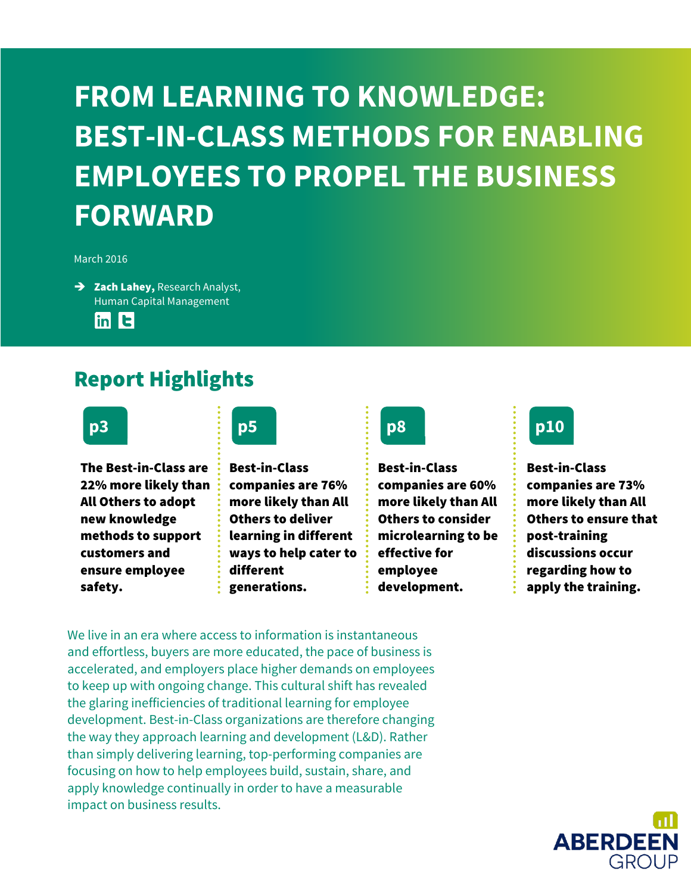### **FROM LEARNING TO KNOWLEDGE: BEST-IN-CLASS METHODS FOR ENABLING EMPLOYEES TO PROPEL THE BUSINESS FORWARD**

#### March 2016

 $\rightarrow$  Zach Lahey, Research Analyst, Human Capital Management  $\ln$ in  $\mathbf{E}$ 

### Report Highlights

The Best-in-Class are 22% more likely than All Others to adopt new knowledge methods to support customers and ensure employee safety.

Best-in-Class companies are 76% more likely than All Others to deliver learning in different ways to help cater to different generations.



Best-in-Class companies are 60% more likely than All Others to consider microlearning to be effective for employee development.



Best-in-Class companies are 73% more likely than All Others to ensure that post-training discussions occur regarding how to apply the training.

We live in an era where access to information is instantaneous and effortless, buyers are more educated, the pace of business is accelerated, and employers place higher demands on employees to keep up with ongoing change. This cultural shift has revealed the glaring inefficiencies of traditional learning for employee development. Best-in-Class organizations are therefore changing the way they approach learning and development (L&D). Rather than simply delivering learning, top-performing companies are focusing on how to help employees build, sustain, share, and apply knowledge continually in order to have a measurable impact on business results.

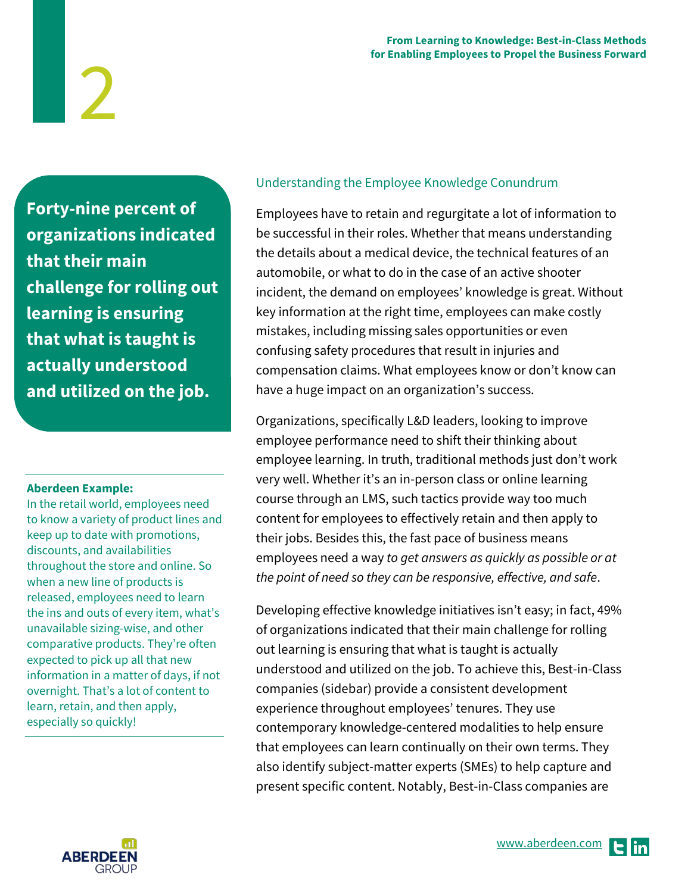**Forty-nine percent of organizations indicated that their main challenge for rolling out learning is ensuring that what is taught is actually understood and utilized on the job.** 

2

#### **Aberdeen Example:**

In the retail world, employees need to know a variety of product lines and keep up to date with promotions, discounts, and availabilities throughout the store and online. So when a new line of products is released, employees need to learn the ins and outs of every item, what's unavailable sizing-wise, and other comparative products. They're often expected to pick up all that new information in a matter of days, if not overnight. That's a lot of content to learn, retain, and then apply, especially so quickly!

#### Understanding the Employee Knowledge Conundrum

Employees have to retain and regurgitate a lot of information to be successful in their roles. Whether that means understanding the details about a medical device, the technical features of an automobile, or what to do in the case of an active shooter incident, the demand on employees' knowledge is great. Without key information at the right time, employees can make costly mistakes, including missing sales opportunities or even confusing safety procedures that result in injuries and compensation claims. What employees know or don't know can have a huge impact on an organization's success.

Organizations, specifically L&D leaders, looking to improve employee performance need to shift their thinking about employee learning. In truth, traditional methods just don't work very well. Whether it's an in-person class or online learning course through an LMS, such tactics provide way too much content for employees to effectively retain and then apply to their jobs. Besides this, the fast pace of business means employees need a way to get answers as quickly as possible or at the point of need so they can be responsive, effective, and safe.

Developing effective knowledge initiatives isn't easy; in fact, 49% of organizations indicated that their main challenge for rolling out learning is ensuring that what is taught is actually understood and utilized on the job. To achieve this, Best-in-Class companies (sidebar) provide a consistent development experience throughout employees' tenures. They use contemporary knowledge-centered modalities to help ensure that employees can learn continually on their own terms. They also identify subject-matter experts (SMEs) to help capture and present specific content. Notably, Best-in-Class companies are

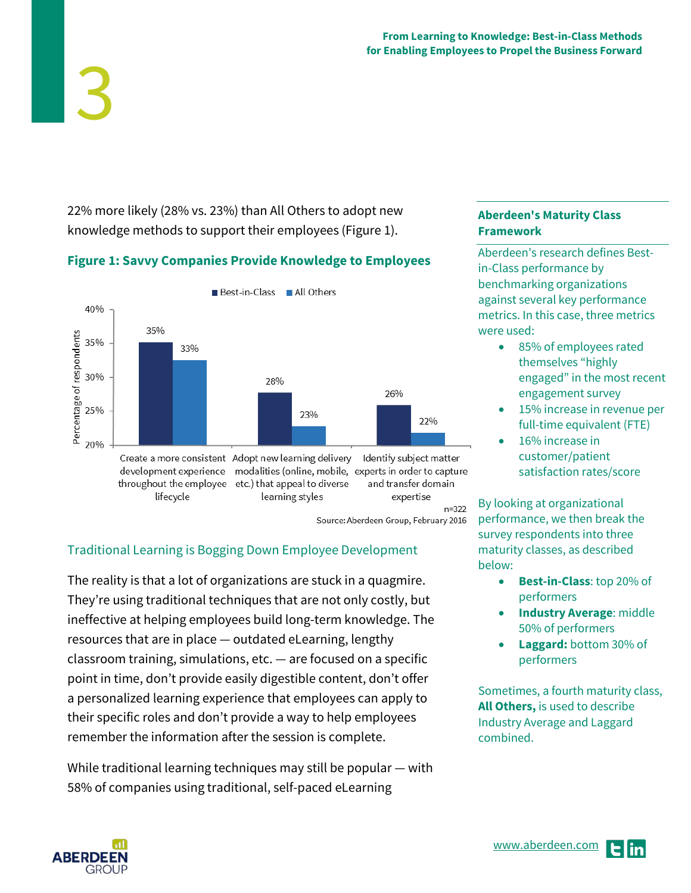22% more likely (28% vs. 23%) than All Others to adopt new knowledge methods to support their employees (Figure 1).

#### **Figure 1: Savvy Companies Provide Knowledge to Employees**



#### Traditional Learning is Bogging Down Employee Development

The reality is that a lot of organizations are stuck in a quagmire. They're using traditional techniques that are not only costly, but ineffective at helping employees build long-term knowledge. The resources that are in place — outdated eLearning, lengthy classroom training, simulations, etc. — are focused on a specific point in time, don't provide easily digestible content, don't offer a personalized learning experience that employees can apply to their specific roles and don't provide a way to help employees remember the information after the session is complete.

While traditional learning techniques may still be popular — with 58% of companies using traditional, self-paced eLearning

#### **Aberdeen's Maturity Class Framework**

Aberdeen's research defines Bestin-Class performance by benchmarking organizations against several key performance metrics. In this case, three metrics were used:

- 85% of employees rated themselves "highly engaged" in the most recent engagement survey
- 15% increase in revenue per full-time equivalent (FTE)
- 16% increase in customer/patient satisfaction rates/score

By looking at organizational performance, we then break the survey respondents into three maturity classes, as described below:

- **Best-in-Class**: top 20% of performers
- **Industry Average**: middle 50% of performers
- **Laggard:** bottom 30% of performers

Sometimes, a fourth maturity class, **All Others,** is used to describe Industry Average and Laggard combined.

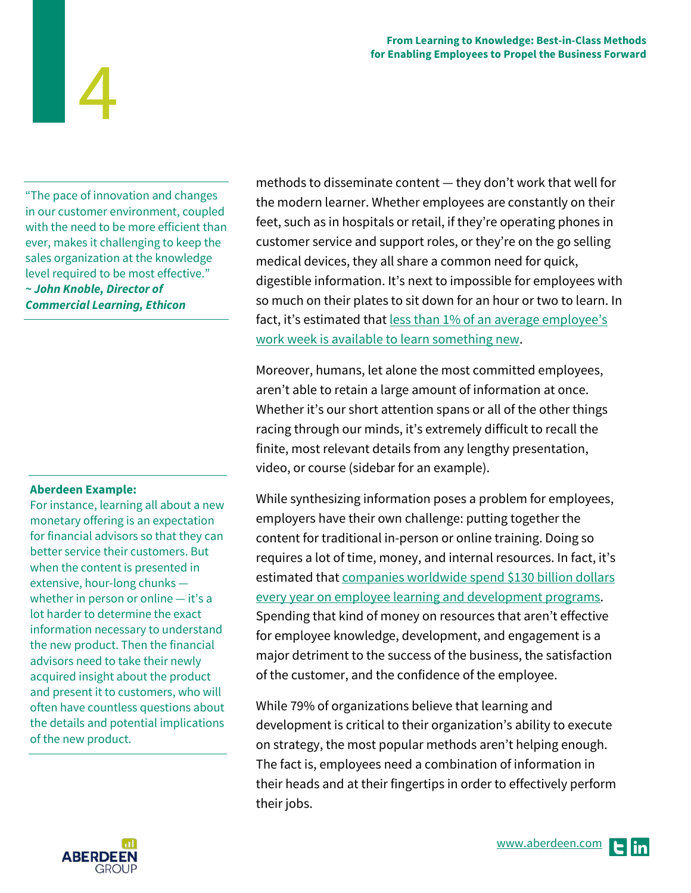**From Learning to Knowledge: Best-in-Class Methods for Enabling Employees to Propel the Business Forward**

"The pace of innovation and changes in our customer environment, coupled with the need to be more efficient than ever, makes it challenging to keep the sales organization at the knowledge level required to be most effective." **~ John Knoble, Director of Commercial Learning, Ethicon**

4

#### **Aberdeen Example:**

For instance, learning all about a new monetary offering is an expectation for financial advisors so that they can better service their customers. But when the content is presented in extensive, hour-long chunks whether in person or online — it's a lot harder to determine the exact information necessary to understand the new product. Then the financial advisors need to take their newly acquired insight about the product and present it to customers, who will often have countless questions about the details and potential implications of the new product.

methods to disseminate content — they don't work that well for the modern learner. Whether employees are constantly on their feet, such as in hospitals or retail, if they're operating phones in customer service and support roles, or they're on the go selling medical devices, they all share a common need for quick, digestible information. It's next to impossible for employees with so much on their plates to sit down for an hour or two to learn. In fact, it's estimated that less than 1% of an average employee's [work week is available to learn something new.](http://www.bottomlineperformance.com/can-micro-learning-help-stressed-unmotivated-learners/)

Moreover, humans, let alone the most committed employees, aren't able to retain a large amount of information at once. Whether it's our short attention spans or all of the other things racing through our minds, it's extremely difficult to recall the finite, most relevant details from any lengthy presentation, video, or course (sidebar for an example).

While synthesizing information poses a problem for employees, employers have their own challenge: putting together the content for traditional in-person or online training. Doing so requires a lot of time, money, and internal resources. In fact, it's estimated that [companies worldwide spend \\$130 billion dollars](http://www.forbes.com/sites/joshbersin/2014/02/04/the-recovery-arrives-corporate-training-spend-skyrockets/)  [every year on employee learning and development programs.](http://www.forbes.com/sites/joshbersin/2014/02/04/the-recovery-arrives-corporate-training-spend-skyrockets/) Spending that kind of money on resources that aren't effective for employee knowledge, development, and engagement is a major detriment to the success of the business, the satisfaction of the customer, and the confidence of the employee.

While 79% of organizations believe that learning and development is critical to their organization's ability to execute on strategy, the most popular methods aren't helping enough. The fact is, employees need a combination of information in their heads and at their fingertips in order to effectively perform their jobs.

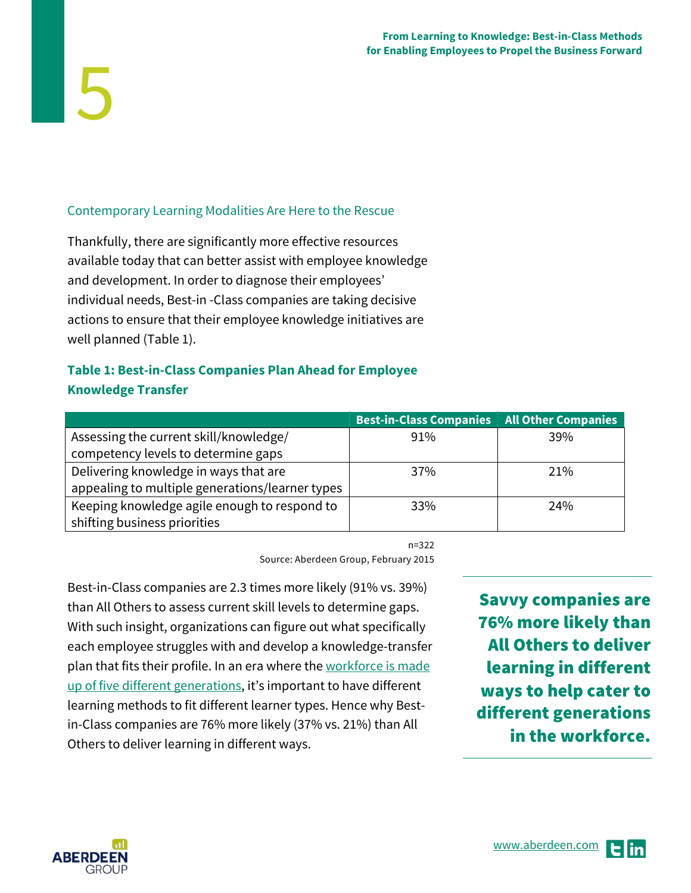#### Contemporary Learning Modalities Are Here to the Rescue

Thankfully, there are significantly more effective resources available today that can better assist with employee knowledge and development. In order to diagnose their employees' individual needs, Best-in -Class companies are taking decisive actions to ensure that their employee knowledge initiatives are well planned (Table 1).

#### **Table 1: Best-in-Class Companies Plan Ahead for Employee Knowledge Transfer**

|                                                 | <b>Best-in-Class Companies All Other Companies</b> |     |
|-------------------------------------------------|----------------------------------------------------|-----|
| Assessing the current skill/knowledge/          | 91%                                                | 39% |
| competency levels to determine gaps             |                                                    |     |
| Delivering knowledge in ways that are           | 37%                                                | 21% |
| appealing to multiple generations/learner types |                                                    |     |
| Keeping knowledge agile enough to respond to    | 33%                                                | 24% |
| shifting business priorities                    |                                                    |     |

n=322

Source: Aberdeen Group, February 2015

Best-in-Class companies are 2.3 times more likely (91% vs. 39%) than All Others to assess current skill levels to determine gaps. With such insight, organizations can figure out what specifically each employee struggles with and develop a knowledge-transfer plan that fits their profile. In an era where the workforce is made [up of five different generations,](https://hbr.org/2014/09/managing-people-from-5-generations) it's important to have different learning methods to fit different learner types. Hence why Bestin-Class companies are 76% more likely (37% vs. 21%) than All Others to deliver learning in different ways.

Savvy companies are 76% more likely than All Others to deliver learning in different ways to help cater to different generations in the workforce.



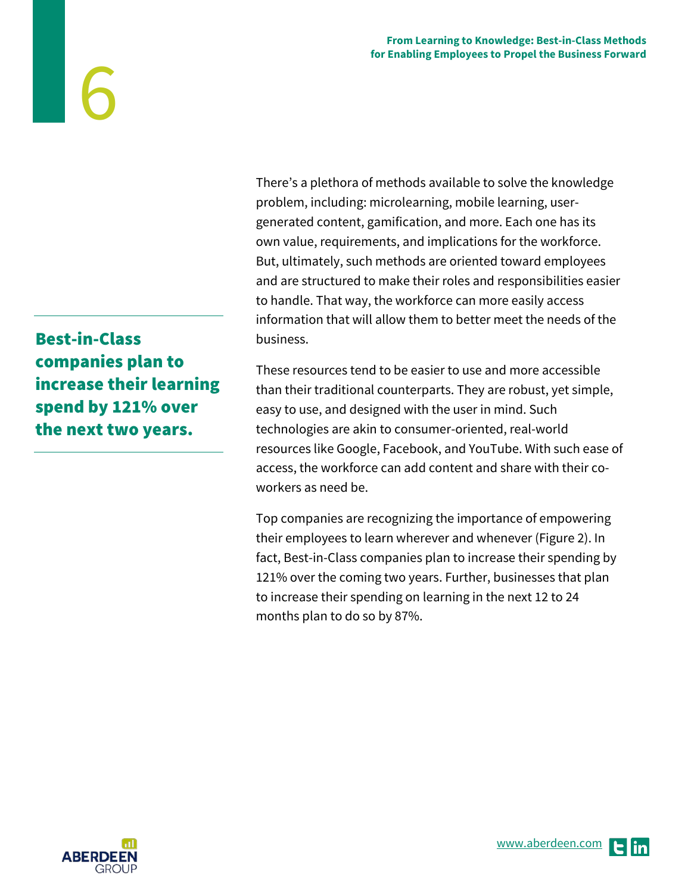There's a plethora of methods available to solve the knowledge problem, including: microlearning, mobile learning, usergenerated content, gamification, and more. Each one has its own value, requirements, and implications for the workforce. But, ultimately, such methods are oriented toward employees and are structured to make their roles and responsibilities easier to handle. That way, the workforce can more easily access information that will allow them to better meet the needs of the business.

These resources tend to be easier to use and more accessible than their traditional counterparts. They are robust, yet simple, easy to use, and designed with the user in mind. Such technologies are akin to consumer-oriented, real-world resources like Google, Facebook, and YouTube. With such ease of access, the workforce can add content and share with their coworkers as need be.

Top companies are recognizing the importance of empowering their employees to learn wherever and whenever (Figure 2). In fact, Best-in-Class companies plan to increase their spending by 121% over the coming two years. Further, businesses that plan to increase their spending on learning in the next 12 to 24 months plan to do so by 87%.

Best-in-Class companies plan to increase their learning spend by 121% over the next two years.

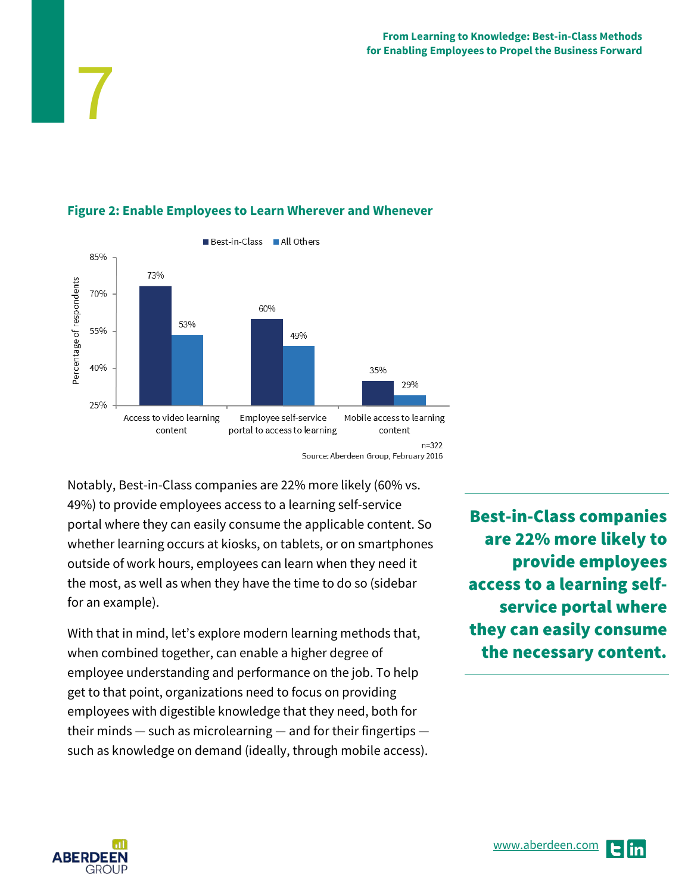

#### **Figure 2: Enable Employees to Learn Wherever and Whenever**

Notably, Best-in-Class companies are 22% more likely (60% vs. 49%) to provide employees access to a learning self-service portal where they can easily consume the applicable content. So whether learning occurs at kiosks, on tablets, or on smartphones outside of work hours, employees can learn when they need it the most, as well as when they have the time to do so (sidebar for an example).

With that in mind, let's explore modern learning methods that, when combined together, can enable a higher degree of employee understanding and performance on the job. To help get to that point, organizations need to focus on providing employees with digestible knowledge that they need, both for their minds — such as microlearning — and for their fingertips such as knowledge on demand (ideally, through mobile access).

Best-in-Class companies are 22% more likely to provide employees access to a learning selfservice portal where they can easily consume the necessary content.



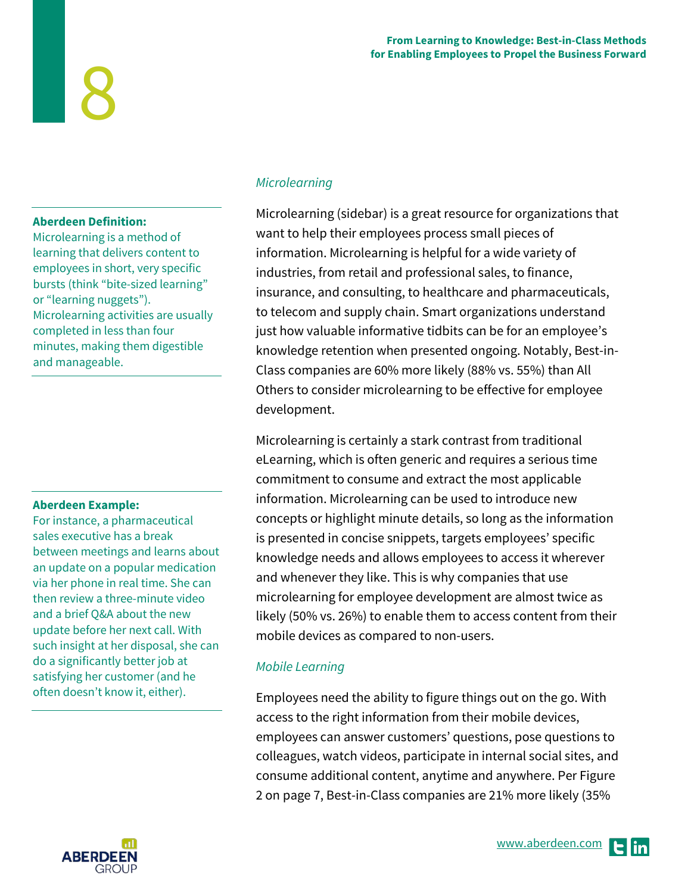#### **From Learning to Knowledge: Best-in-Class Methods for Enabling Employees to Propel the Business Forward**

#### **Aberdeen Definition:**

8

Microlearning is a method of learning that delivers content to employees in short, very specific bursts (think "bite-sized learning" or "learning nuggets"). Microlearning activities are usually completed in less than four minutes, making them digestible and manageable.

#### **Aberdeen Example:**

For instance, a pharmaceutical sales executive has a break between meetings and learns about an update on a popular medication via her phone in real time. She can then review a three-minute video and a brief Q&A about the new update before her next call. With such insight at her disposal, she can do a significantly better job at satisfying her customer (and he often doesn't know it, either).



#### **Microlearning**

Microlearning (sidebar) is a great resource for organizations that want to help their employees process small pieces of information. Microlearning is helpful for a wide variety of industries, from retail and professional sales, to finance, insurance, and consulting, to healthcare and pharmaceuticals, to telecom and supply chain. Smart organizations understand just how valuable informative tidbits can be for an employee's knowledge retention when presented ongoing. Notably, Best-in-Class companies are 60% more likely (88% vs. 55%) than All Others to consider microlearning to be effective for employee development.

Microlearning is certainly a stark contrast from traditional eLearning, which is often generic and requires a serious time commitment to consume and extract the most applicable information. Microlearning can be used to introduce new concepts or highlight minute details, so long as the information is presented in concise snippets, targets employees' specific knowledge needs and allows employees to access it wherever and whenever they like. This is why companies that use microlearning for employee development are almost twice as likely (50% vs. 26%) to enable them to access content from their mobile devices as compared to non-users.

#### Mobile Learning

Employees need the ability to figure things out on the go. With access to the right information from their mobile devices, employees can answer customers' questions, pose questions to colleagues, watch videos, participate in internal social sites, and consume additional content, anytime and anywhere. Per Figure 2 on page 7, Best-in-Class companies are 21% more likely (35%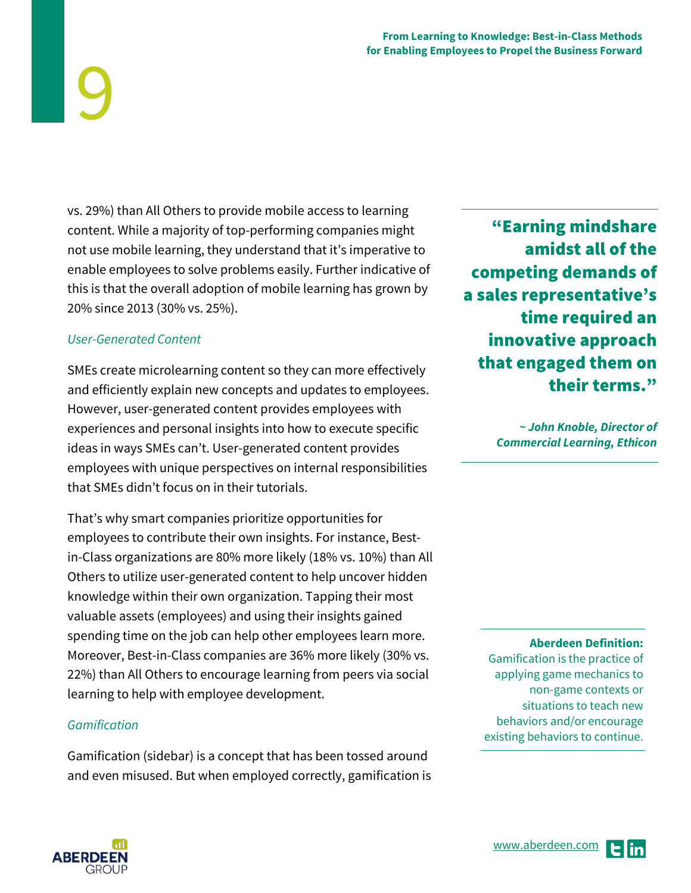vs. 29%) than All Others to provide mobile access to learning content. While a majority of top-performing companies might not use mobile learning, they understand that it's imperative to enable employees to solve problems easily. Further indicative of this is that the overall adoption of mobile learning has grown by 20% since 2013 (30% vs. 25%).

#### User-Generated Content

9

SMEs create microlearning content so they can more effectively and efficiently explain new concepts and updates to employees. However, user-generated content provides employees with experiences and personal insights into how to execute specific ideas in ways SMEs can't. User-generated content provides employees with unique perspectives on internal responsibilities that SMEs didn't focus on in their tutorials.

That's why smart companies prioritize opportunities for employees to contribute their own insights. For instance, Bestin-Class organizations are 80% more likely (18% vs. 10%) than All Others to utilize user-generated content to help uncover hidden knowledge within their own organization. Tapping their most valuable assets (employees) and using their insights gained spending time on the job can help other employees learn more. Moreover, Best-in-Class companies are 36% more likely (30% vs. 22%) than All Others to encourage learning from peers via social learning to help with employee development.

#### Gamification

Gamification (sidebar) is a concept that has been tossed around and even misused. But when employed correctly, gamification is

"Earning mindshare amidst all of the competing demands of a sales representative's time required an innovative approach that engaged them on their terms."

> **~ John Knoble, Director of Commercial Learning, Ethicon**

> > **Aberdeen Definition:**

Gamification is the practice of applying game mechanics to non-game contexts or situations to teach new behaviors and/or encourage existing behaviors to continue.



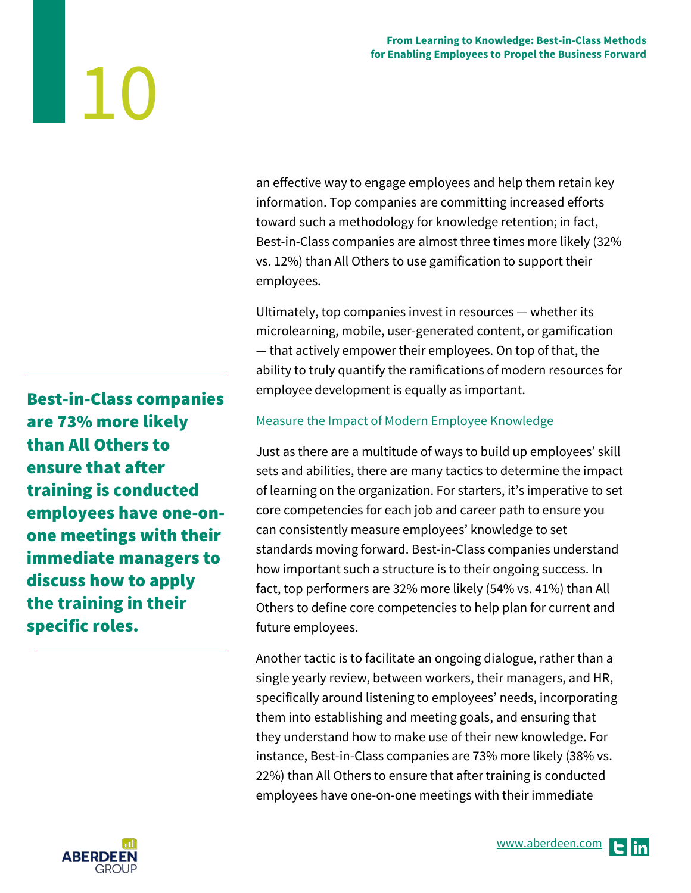an effective way to engage employees and help them retain key information. Top companies are committing increased efforts toward such a methodology for knowledge retention; in fact, Best-in-Class companies are almost three times more likely (32% vs. 12%) than All Others to use gamification to support their employees.

Ultimately, top companies invest in resources — whether its microlearning, mobile, user-generated content, or gamification — that actively empower their employees. On top of that, the ability to truly quantify the ramifications of modern resources for employee development is equally as important.

#### Measure the Impact of Modern Employee Knowledge

Just as there are a multitude of ways to build up employees' skill sets and abilities, there are many tactics to determine the impact of learning on the organization. For starters, it's imperative to set core competencies for each job and career path to ensure you can consistently measure employees' knowledge to set standards moving forward. Best-in-Class companies understand how important such a structure is to their ongoing success. In fact, top performers are 32% more likely (54% vs. 41%) than All Others to define core competencies to help plan for current and future employees.

Another tactic is to facilitate an ongoing dialogue, rather than a single yearly review, between workers, their managers, and HR, specifically around listening to employees' needs, incorporating them into establishing and meeting goals, and ensuring that they understand how to make use of their new knowledge. For instance, Best-in-Class companies are 73% more likely (38% vs. 22%) than All Others to ensure that after training is conducted employees have one-on-one meetings with their immediate

Best-in-Class companies are 73% more likely than All Others to ensure that after training is conducted employees have one-onone meetings with their immediate managers to discuss how to apply the training in their specific roles.

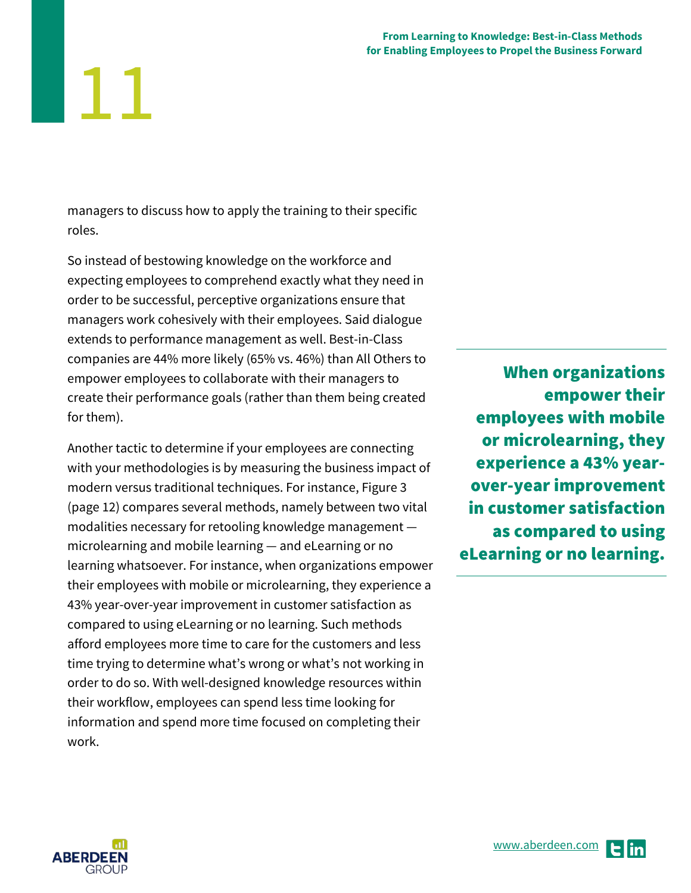managers to discuss how to apply the training to their specific roles.

11

So instead of bestowing knowledge on the workforce and expecting employees to comprehend exactly what they need in order to be successful, perceptive organizations ensure that managers work cohesively with their employees. Said dialogue extends to performance management as well. Best-in-Class companies are 44% more likely (65% vs. 46%) than All Others to empower employees to collaborate with their managers to create their performance goals (rather than them being created for them).

Another tactic to determine if your employees are connecting with your methodologies is by measuring the business impact of modern versus traditional techniques. For instance, Figure 3 (page 12) compares several methods, namely between two vital modalities necessary for retooling knowledge management microlearning and mobile learning — and eLearning or no learning whatsoever. For instance, when organizations empower their employees with mobile or microlearning, they experience a 43% year-over-year improvement in customer satisfaction as compared to using eLearning or no learning. Such methods afford employees more time to care for the customers and less time trying to determine what's wrong or what's not working in order to do so. With well-designed knowledge resources within their workflow, employees can spend less time looking for information and spend more time focused on completing their work.

When organizations empower their employees with mobile or microlearning, they experience a 43% yearover-year improvement in customer satisfaction as compared to using eLearning or no learning.



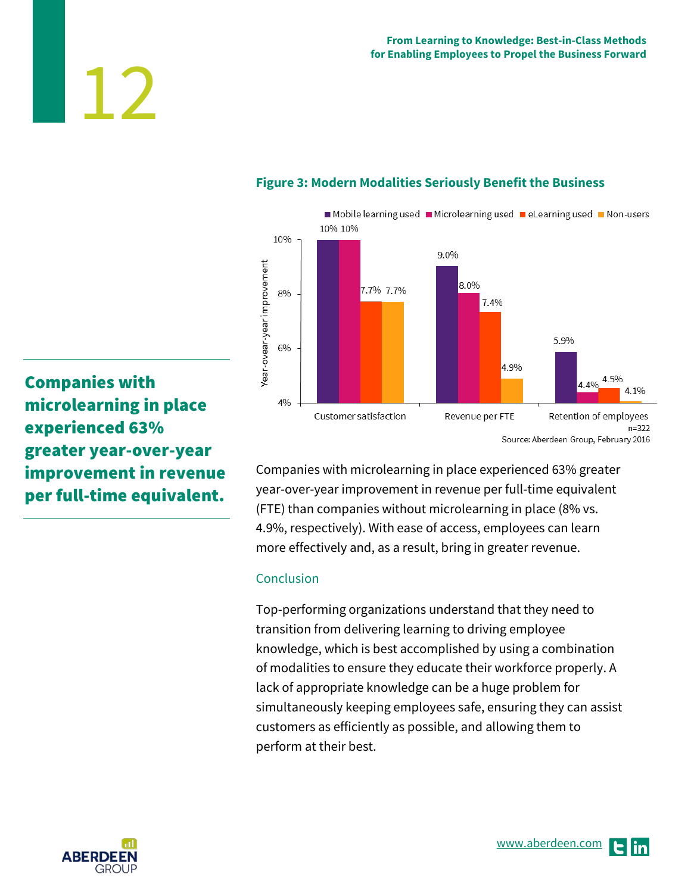#### Mobile learning used Microlearning used eLearning used Mon-users 10% 10% 10% 9.0% Year-ovear-year improvement 8.0% 7.7% 7.7% 8% 7.4% 5.9% 6% 4.9% 4.5% 4.4%  $41%$ 4% Customer satisfaction Revenue per FTE Retention of employees  $n = 322$ Source: Aberdeen Group, February 2016

#### **Figure 3: Modern Modalities Seriously Benefit the Business**

Companies with microlearning in place experienced 63% greater year-over-year improvement in revenue per full-time equivalent.

12

Companies with microlearning in place experienced 63% greater year-over-year improvement in revenue per full-time equivalent (FTE) than companies without microlearning in place (8% vs. 4.9%, respectively). With ease of access, employees can learn more effectively and, as a result, bring in greater revenue.

#### Conclusion

Top-performing organizations understand that they need to transition from delivering learning to driving employee knowledge, which is best accomplished by using a combination of modalities to ensure they educate their workforce properly. A lack of appropriate knowledge can be a huge problem for simultaneously keeping employees safe, ensuring they can assist customers as efficiently as possible, and allowing them to perform at their best.

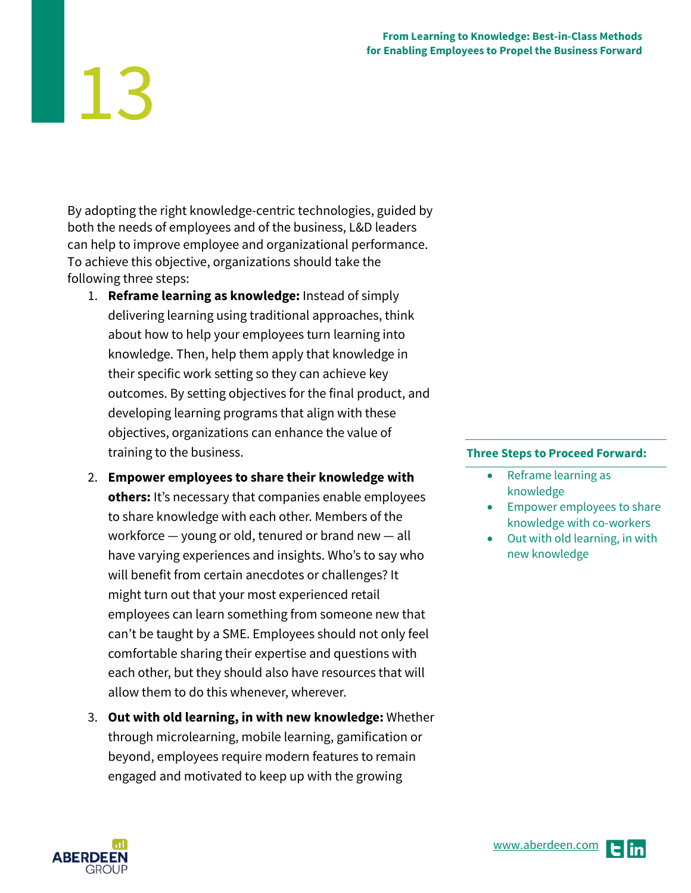#### **From Learning to Knowledge: Best-in-Class Methods for Enabling Employees to Propel the Business Forward**

# 13

By adopting the right knowledge-centric technologies, guided by both the needs of employees and of the business, L&D leaders can help to improve employee and organizational performance. To achieve this objective, organizations should take the following three steps:

- 1. **Reframe learning as knowledge:** Instead of simply delivering learning using traditional approaches, think about how to help your employees turn learning into knowledge. Then, help them apply that knowledge in their specific work setting so they can achieve key outcomes. By setting objectives for the final product, and developing learning programs that align with these objectives, organizations can enhance the value of training to the business.
- 2. **Empower employees to share their knowledge with others:** It's necessary that companies enable employees to share knowledge with each other. Members of the workforce — young or old, tenured or brand new — all have varying experiences and insights. Who's to say who will benefit from certain anecdotes or challenges? It might turn out that your most experienced retail employees can learn something from someone new that can't be taught by a SME. Employees should not only feel comfortable sharing their expertise and questions with each other, but they should also have resources that will allow them to do this whenever, wherever.
- 3. **Out with old learning, in with new knowledge:** Whether through microlearning, mobile learning, gamification or beyond, employees require modern features to remain engaged and motivated to keep up with the growing

#### **Three Steps to Proceed Forward:**

- Reframe learning as knowledge
- Empower employees to share knowledge with co-workers
- Out with old learning, in with new knowledge